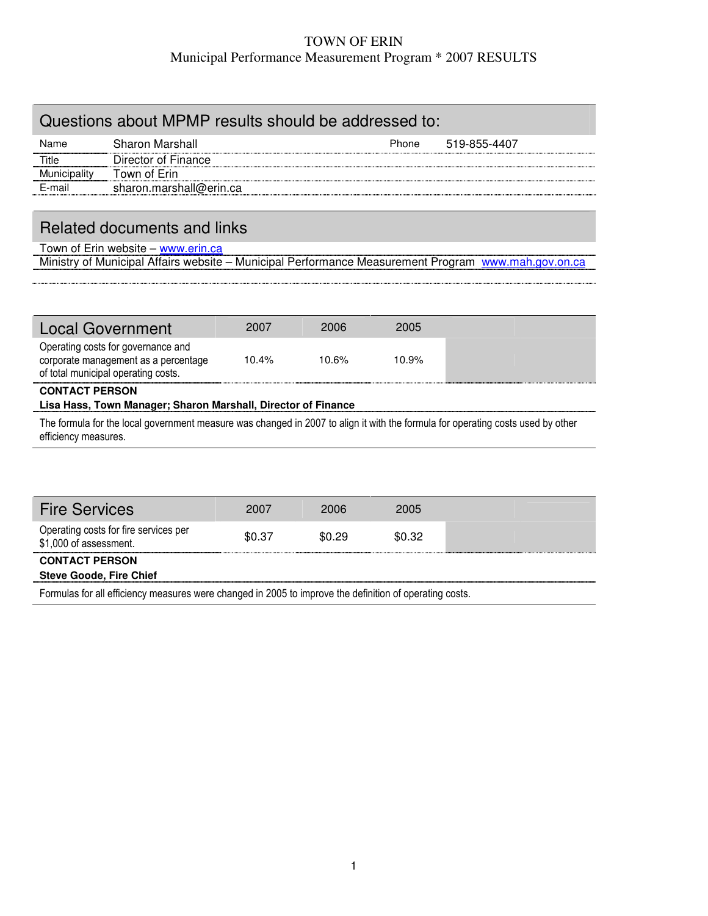### TOWN OF ERIN Municipal Performance Measurement Program \* 2007 RESULTS

# Questions about MPMP results should be addressed to: Name Sharon Marshall **Phone** 519-855-4407 Title **Director of Finance** Municipality Town of Erin Municipality Town of Erin<br>E-mail sharon.marshall@erin.ca

## Related documents and links

Town of Erin website - www.erin.ca Ministry of Municipal Affairs website – Municipal Performance Measurement Program www.mah.gov.on.ca

| <b>Local Government</b>                                                                                           | 2007     | 2006     | 2005     |  |  |  |  |
|-------------------------------------------------------------------------------------------------------------------|----------|----------|----------|--|--|--|--|
| Operating costs for governance and<br>corporate management as a percentage<br>of total municipal operating costs. | $10.4\%$ | $10.6\%$ | $10.9\%$ |  |  |  |  |
| <b>CONTACT PERSON</b><br>Lisa Hass, Town Manager; Sharon Marshall, Director of Finance                            |          |          |          |  |  |  |  |

The formula for the local government measure was changed in 2007 to align it with the formula for operating costs used by other efficiency measures.

| <b>Fire Services</b>                                                                                    | 2007   | 2006   | 2005   |  |  |  |
|---------------------------------------------------------------------------------------------------------|--------|--------|--------|--|--|--|
| Operating costs for fire services per<br>\$1,000 of assessment.                                         | \$0.37 | \$0.29 | \$0.32 |  |  |  |
| <b>CONTACT PERSON</b>                                                                                   |        |        |        |  |  |  |
| <b>Steve Goode, Fire Chief</b>                                                                          |        |        |        |  |  |  |
| Formulas for all efficiency measures were changed in 2005 to improve the definition of operating costs. |        |        |        |  |  |  |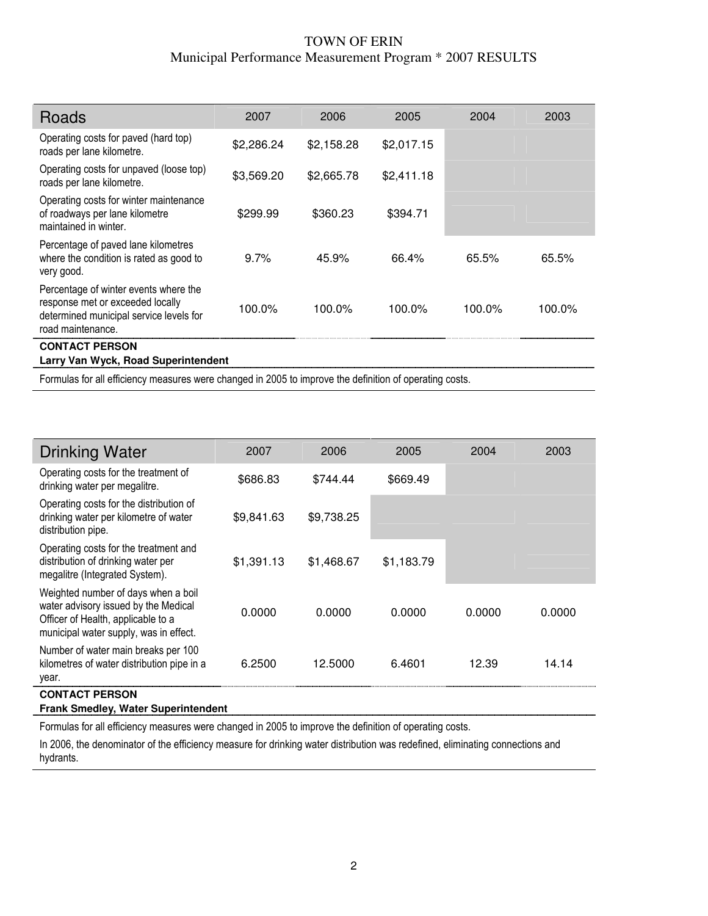### TOWN OF ERIN Municipal Performance Measurement Program \* 2007 RESULTS

| Roads                                                                                                                                     | 2007       | 2006       | 2005       | 2004   | 2003   |
|-------------------------------------------------------------------------------------------------------------------------------------------|------------|------------|------------|--------|--------|
| Operating costs for paved (hard top)<br>roads per lane kilometre.                                                                         | \$2,286.24 | \$2,158.28 | \$2,017.15 |        |        |
| Operating costs for unpaved (loose top)<br>roads per lane kilometre.                                                                      | \$3,569.20 | \$2,665.78 | \$2,411.18 |        |        |
| Operating costs for winter maintenance<br>of roadways per lane kilometre<br>maintained in winter.                                         | \$299.99   | \$360.23   | \$394.71   |        |        |
| Percentage of paved lane kilometres<br>where the condition is rated as good to<br>very good.                                              | $9.7\%$    | 45.9%      | 66.4%      | 65.5%  | 65.5%  |
| Percentage of winter events where the<br>response met or exceeded locally<br>determined municipal service levels for<br>road maintenance. | 100.0%     | 100.0%     | 100.0%     | 100.0% | 100.0% |
| <b>CONTACT PERSON</b>                                                                                                                     |            |            |            |        |        |
| Larry Van Wyck, Road Superintendent                                                                                                       |            |            |            |        |        |

Formulas for all efficiency measures were changed in 2005 to improve the definition of operating costs.

ſ

| <b>Drinking Water</b>                                                                                                                                       | 2007       | 2006       | 2005       | 2004   | 2003   |
|-------------------------------------------------------------------------------------------------------------------------------------------------------------|------------|------------|------------|--------|--------|
| Operating costs for the treatment of<br>drinking water per megalitre.                                                                                       | \$686.83   | \$744.44   | \$669.49   |        |        |
| Operating costs for the distribution of<br>drinking water per kilometre of water<br>distribution pipe.                                                      | \$9,841.63 | \$9,738.25 |            |        |        |
| Operating costs for the treatment and<br>distribution of drinking water per<br>megalitre (Integrated System).                                               | \$1,391.13 | \$1,468.67 | \$1,183.79 |        |        |
| Weighted number of days when a boil<br>water advisory issued by the Medical<br>Officer of Health, applicable to a<br>municipal water supply, was in effect. | 0.0000     | 0.0000     | 0.0000     | 0.0000 | 0.0000 |
| Number of water main breaks per 100<br>kilometres of water distribution pipe in a<br>year.                                                                  | 6.2500     | 12.5000    | 6.4601     | 12.39  | 14.14  |
| <b>CONTACT PERSON</b>                                                                                                                                       |            |            |            |        |        |
| <b>Frank Smedley, Water Superintendent</b>                                                                                                                  |            |            |            |        |        |

Formulas for all efficiency measures were changed in 2005 to improve the definition of operating costs.

In 2006, the denominator of the efficiency measure for drinking water distribution was redefined, eliminating connections and hydrants.